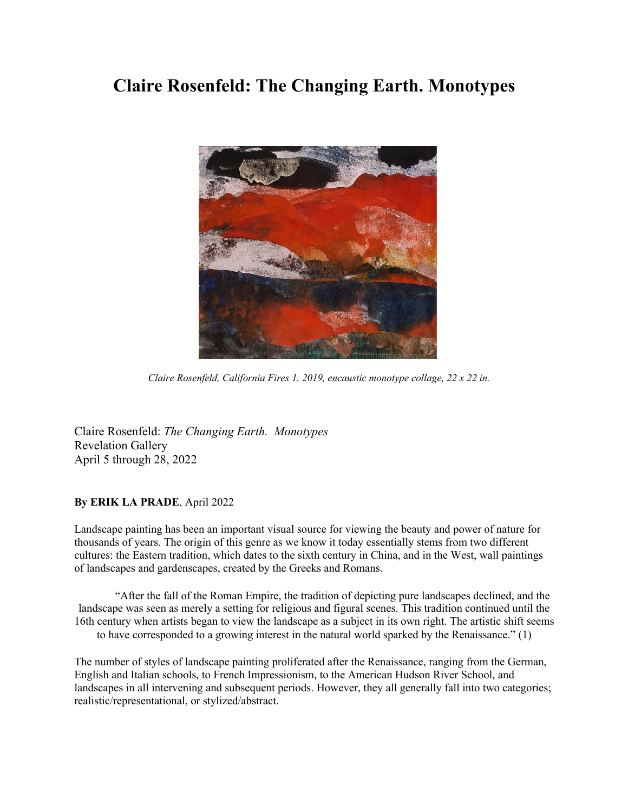## **Claire Rosenfeld: The Changing Earth. Monotypes**



*Claire Rosenfeld, California Fires 1, 2019, encaustic monotype collage, 22 x 22 in.*

Claire Rosenfeld: *The Changing Earth. Monotypes* Revelation Gallery April 5 through 28, 2022

## **By ERIK LA PRADE**, April 2022

Landscape painting has been an important visual source for viewing the beauty and power of nature for thousands of years. The origin of this genre as we know it today essentially stems from two different cultures: the Eastern tradition, which dates to the sixth century in China, and in the West, wall paintings of landscapes and gardenscapes, created by the Greeks and Romans.

"After the fall of the Roman Empire, the tradition of depicting pure landscapes declined, and the landscape was seen as merely a setting for religious and figural scenes. This tradition continued until the 16th century when artists began to view the landscape as a subject in its own right. The artistic shift seems to have corresponded to a growing interest in the natural world sparked by the Renaissance." (1)

The number of styles of landscape painting proliferated after the Renaissance, ranging from the German, English and Italian schools, to French Impressionism, to the American Hudson River School, and landscapes in all intervening and subsequent periods. However, they all generally fall into two categories; realistic/representational, or stylized/abstract.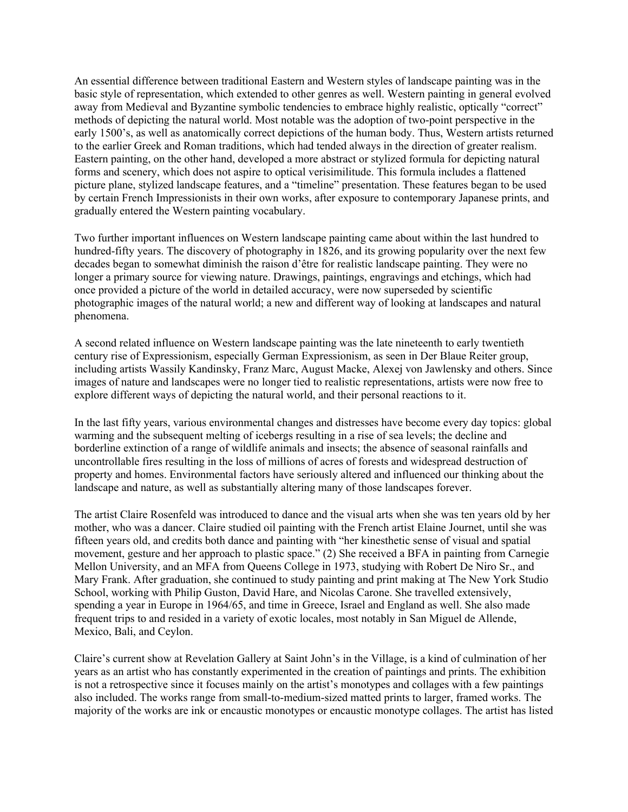An essential difference between traditional Eastern and Western styles of landscape painting was in the basic style of representation, which extended to other genres as well. Western painting in general evolved away from Medieval and Byzantine symbolic tendencies to embrace highly realistic, optically "correct" methods of depicting the natural world. Most notable was the adoption of two-point perspective in the early 1500's, as well as anatomically correct depictions of the human body. Thus, Western artists returned to the earlier Greek and Roman traditions, which had tended always in the direction of greater realism. Eastern painting, on the other hand, developed a more abstract or stylized formula for depicting natural forms and scenery, which does not aspire to optical verisimilitude. This formula includes a flattened picture plane, stylized landscape features, and a "timeline" presentation. These features began to be used by certain French Impressionists in their own works, after exposure to contemporary Japanese prints, and gradually entered the Western painting vocabulary.

Two further important influences on Western landscape painting came about within the last hundred to hundred-fifty years. The discovery of photography in 1826, and its growing popularity over the next few decades began to somewhat diminish the raison d'être for realistic landscape painting. They were no longer a primary source for viewing nature. Drawings, paintings, engravings and etchings, which had once provided a picture of the world in detailed accuracy, were now superseded by scientific photographic images of the natural world; a new and different way of looking at landscapes and natural phenomena.

A second related influence on Western landscape painting was the late nineteenth to early twentieth century rise of Expressionism, especially German Expressionism, as seen in Der Blaue Reiter group, including artists Wassily Kandinsky, Franz Marc, August Macke, Alexej von Jawlensky and others. Since images of nature and landscapes were no longer tied to realistic representations, artists were now free to explore different ways of depicting the natural world, and their personal reactions to it.

In the last fifty years, various environmental changes and distresses have become every day topics: global warming and the subsequent melting of icebergs resulting in a rise of sea levels; the decline and borderline extinction of a range of wildlife animals and insects; the absence of seasonal rainfalls and uncontrollable fires resulting in the loss of millions of acres of forests and widespread destruction of property and homes. Environmental factors have seriously altered and influenced our thinking about the landscape and nature, as well as substantially altering many of those landscapes forever.

The artist Claire Rosenfeld was introduced to dance and the visual arts when she was ten years old by her mother, who was a dancer. Claire studied oil painting with the French artist Elaine Journet, until she was fifteen years old, and credits both dance and painting with "her kinesthetic sense of visual and spatial movement, gesture and her approach to plastic space." (2) She received a BFA in painting from Carnegie Mellon University, and an MFA from Queens College in 1973, studying with Robert De Niro Sr., and Mary Frank. After graduation, she continued to study painting and print making at The New York Studio School, working with Philip Guston, David Hare, and Nicolas Carone. She travelled extensively, spending a year in Europe in 1964/65, and time in Greece, Israel and England as well. She also made frequent trips to and resided in a variety of exotic locales, most notably in San Miguel de Allende, Mexico, Bali, and Ceylon.

Claire's current show at Revelation Gallery at Saint John's in the Village, is a kind of culmination of her years as an artist who has constantly experimented in the creation of paintings and prints. The exhibition is not a retrospective since it focuses mainly on the artist's monotypes and collages with a few paintings also included. The works range from small-to-medium-sized matted prints to larger, framed works. The majority of the works are ink or encaustic monotypes or encaustic monotype collages. The artist has listed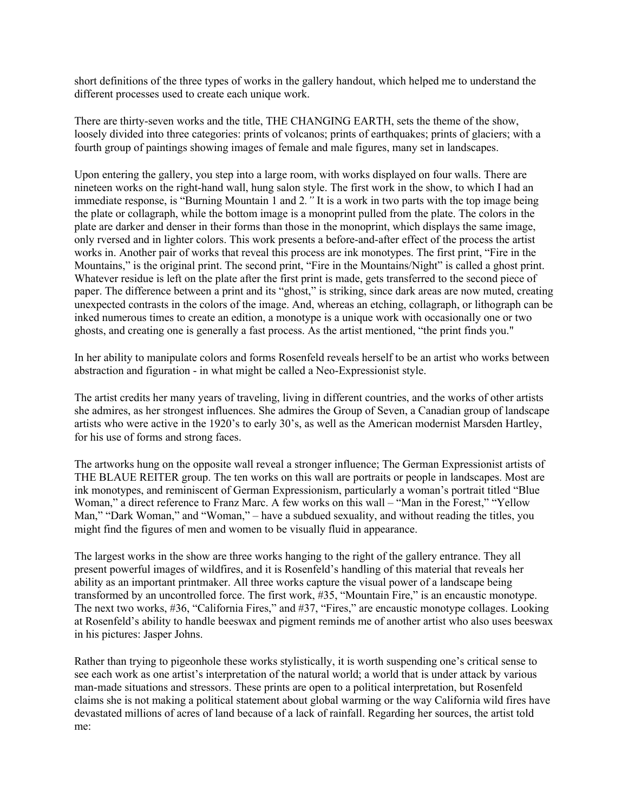short definitions of the three types of works in the gallery handout, which helped me to understand the different processes used to create each unique work.

There are thirty-seven works and the title, THE CHANGING EARTH, sets the theme of the show, loosely divided into three categories: prints of volcanos; prints of earthquakes; prints of glaciers; with a fourth group of paintings showing images of female and male figures, many set in landscapes.

Upon entering the gallery, you step into a large room, with works displayed on four walls. There are nineteen works on the right-hand wall, hung salon style. The first work in the show, to which I had an immediate response, is "Burning Mountain 1 and 2*."* It is a work in two parts with the top image being the plate or collagraph, while the bottom image is a monoprint pulled from the plate. The colors in the plate are darker and denser in their forms than those in the monoprint, which displays the same image, only rversed and in lighter colors. This work presents a before-and-after effect of the process the artist works in. Another pair of works that reveal this process are ink monotypes. The first print, "Fire in the Mountains," is the original print. The second print, "Fire in the Mountains/Night" is called a ghost print. Whatever residue is left on the plate after the first print is made, gets transferred to the second piece of paper. The difference between a print and its "ghost," is striking, since dark areas are now muted, creating unexpected contrasts in the colors of the image. And, whereas an etching, collagraph, or lithograph can be inked numerous times to create an edition, a monotype is a unique work with occasionally one or two ghosts, and creating one is generally a fast process. As the artist mentioned, "the print finds you."

In her ability to manipulate colors and forms Rosenfeld reveals herself to be an artist who works between abstraction and figuration - in what might be called a Neo-Expressionist style.

The artist credits her many years of traveling, living in different countries, and the works of other artists she admires, as her strongest influences. She admires the Group of Seven, a Canadian group of landscape artists who were active in the 1920's to early 30's, as well as the American modernist Marsden Hartley, for his use of forms and strong faces.

The artworks hung on the opposite wall reveal a stronger influence; The German Expressionist artists of THE BLAUE REITER group. The ten works on this wall are portraits or people in landscapes. Most are ink monotypes, and reminiscent of German Expressionism, particularly a woman's portrait titled "Blue Woman," a direct reference to Franz Marc. A few works on this wall – "Man in the Forest," "Yellow Man," "Dark Woman," and "Woman," – have a subdued sexuality, and without reading the titles, you might find the figures of men and women to be visually fluid in appearance.

The largest works in the show are three works hanging to the right of the gallery entrance. They all present powerful images of wildfires, and it is Rosenfeld's handling of this material that reveals her ability as an important printmaker. All three works capture the visual power of a landscape being transformed by an uncontrolled force. The first work, #35, "Mountain Fire," is an encaustic monotype. The next two works, #36, "California Fires," and #37, "Fires," are encaustic monotype collages. Looking at Rosenfeld's ability to handle beeswax and pigment reminds me of another artist who also uses beeswax in his pictures: Jasper Johns.

Rather than trying to pigeonhole these works stylistically, it is worth suspending one's critical sense to see each work as one artist's interpretation of the natural world; a world that is under attack by various man-made situations and stressors. These prints are open to a political interpretation, but Rosenfeld claims she is not making a political statement about global warming or the way California wild fires have devastated millions of acres of land because of a lack of rainfall. Regarding her sources, the artist told me: